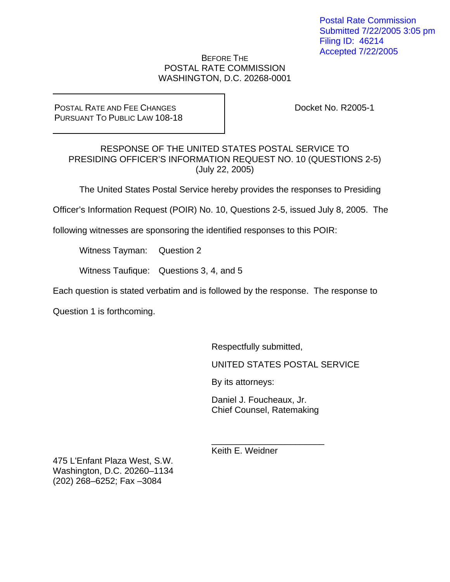#### BEFORE THE POSTAL RATE COMMISSION WASHINGTON, D.C. 20268-0001

POSTAL RATE AND FEE CHANGES PURSUANT TO PUBLIC LAW 108-18 Docket No. R2005-1

RESPONSE OF THE UNITED STATES POSTAL SERVICE TO PRESIDING OFFICER'S INFORMATION REQUEST NO. 10 (QUESTIONS 2-5) (July 22, 2005)

The United States Postal Service hereby provides the responses to Presiding

Officer's Information Request (POIR) No. 10, Questions 2-5, issued July 8, 2005. The

following witnesses are sponsoring the identified responses to this POIR:

Witness Tayman: Question 2

Witness Taufique: Questions 3, 4, and 5

Each question is stated verbatim and is followed by the response. The response to

Question 1 is forthcoming.

Respectfully submitted,

UNITED STATES POSTAL SERVICE

By its attorneys:

Daniel J. Foucheaux, Jr. Chief Counsel, Ratemaking

\_\_\_\_\_\_\_\_\_\_\_\_\_\_\_\_\_\_\_\_\_\_\_

Keith E. Weidner

475 L'Enfant Plaza West, S.W. Washington, D.C. 20260–1134 (202) 268–6252; Fax –3084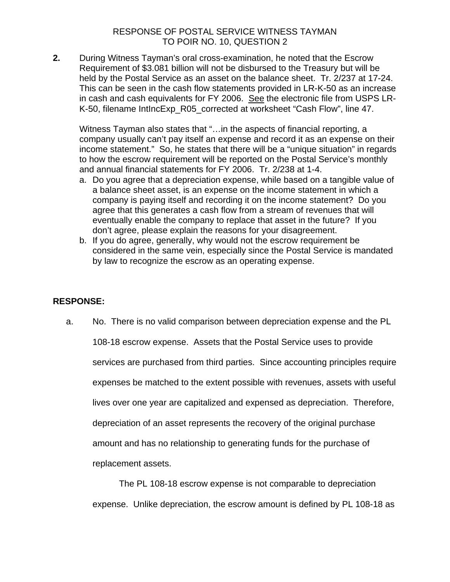**2.** During Witness Tayman's oral cross-examination, he noted that the Escrow Requirement of \$3.081 billion will not be disbursed to the Treasury but will be held by the Postal Service as an asset on the balance sheet. Tr. 2/237 at 17-24. This can be seen in the cash flow statements provided in LR-K-50 as an increase in cash and cash equivalents for FY 2006. See the electronic file from USPS LR-K-50, filename IntIncExp\_R05\_corrected at worksheet "Cash Flow", line 47.

Witness Tayman also states that "…in the aspects of financial reporting, a company usually can't pay itself an expense and record it as an expense on their income statement." So, he states that there will be a "unique situation" in regards to how the escrow requirement will be reported on the Postal Service's monthly and annual financial statements for FY 2006. Tr. 2/238 at 1-4.

- a. Do you agree that a depreciation expense, while based on a tangible value of a balance sheet asset, is an expense on the income statement in which a company is paying itself and recording it on the income statement? Do you agree that this generates a cash flow from a stream of revenues that will eventually enable the company to replace that asset in the future? If you don't agree, please explain the reasons for your disagreement.
- b. If you do agree, generally, why would not the escrow requirement be considered in the same vein, especially since the Postal Service is mandated by law to recognize the escrow as an operating expense.

# **RESPONSE:**

a. No. There is no valid comparison between depreciation expense and the PL

108-18 escrow expense. Assets that the Postal Service uses to provide services are purchased from third parties. Since accounting principles require expenses be matched to the extent possible with revenues, assets with useful lives over one year are capitalized and expensed as depreciation. Therefore, depreciation of an asset represents the recovery of the original purchase amount and has no relationship to generating funds for the purchase of replacement assets.

The PL 108-18 escrow expense is not comparable to depreciation expense. Unlike depreciation, the escrow amount is defined by PL 108-18 as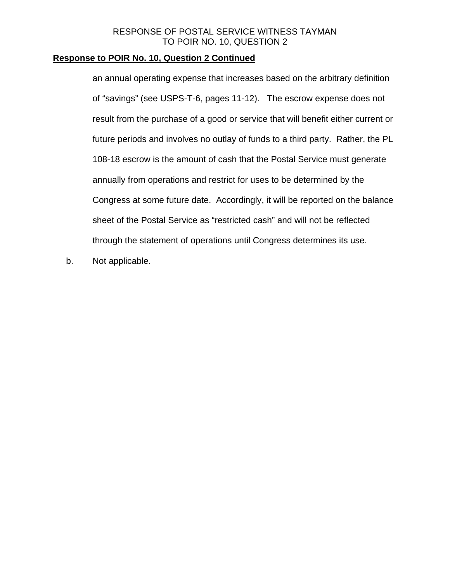# **Response to POIR No. 10, Question 2 Continued**

an annual operating expense that increases based on the arbitrary definition of "savings" (see USPS-T-6, pages 11-12). The escrow expense does not result from the purchase of a good or service that will benefit either current or future periods and involves no outlay of funds to a third party. Rather, the PL 108-18 escrow is the amount of cash that the Postal Service must generate annually from operations and restrict for uses to be determined by the Congress at some future date. Accordingly, it will be reported on the balance sheet of the Postal Service as "restricted cash" and will not be reflected through the statement of operations until Congress determines its use.

b. Not applicable.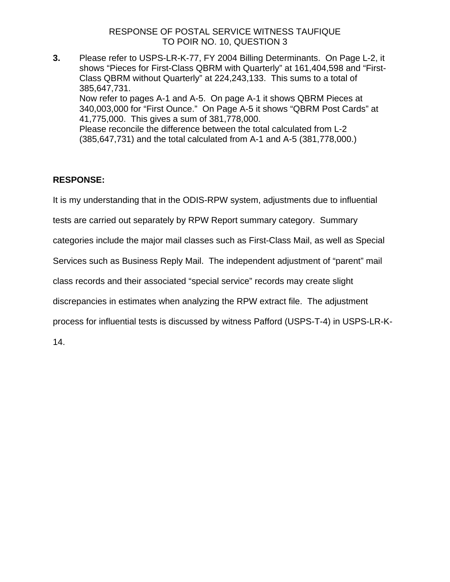**3.** Please refer to USPS-LR-K-77, FY 2004 Billing Determinants. On Page L-2, it shows "Pieces for First-Class QBRM with Quarterly" at 161,404,598 and "First-Class QBRM without Quarterly" at 224,243,133. This sums to a total of 385,647,731. Now refer to pages A-1 and A-5. On page A-1 it shows QBRM Pieces at 340,003,000 for "First Ounce." On Page A-5 it shows "QBRM Post Cards" at 41,775,000. This gives a sum of 381,778,000. Please reconcile the difference between the total calculated from L-2 (385,647,731) and the total calculated from A-1 and A-5 (381,778,000.)

# **RESPONSE:**

It is my understanding that in the ODIS-RPW system, adjustments due to influential

tests are carried out separately by RPW Report summary category. Summary

categories include the major mail classes such as First-Class Mail, as well as Special

Services such as Business Reply Mail. The independent adjustment of "parent" mail

class records and their associated "special service" records may create slight

discrepancies in estimates when analyzing the RPW extract file. The adjustment

process for influential tests is discussed by witness Pafford (USPS-T-4) in USPS-LR-K-

14.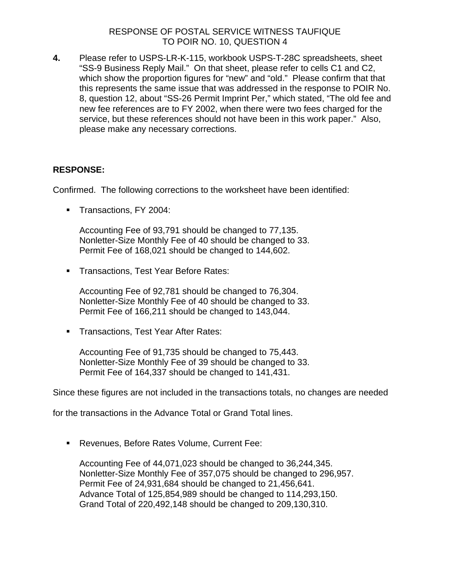**4.** Please refer to USPS-LR-K-115, workbook USPS-T-28C spreadsheets, sheet "SS-9 Business Reply Mail." On that sheet, please refer to cells C1 and C2, which show the proportion figures for "new" and "old." Please confirm that that this represents the same issue that was addressed in the response to POIR No. 8, question 12, about "SS-26 Permit Imprint Per," which stated, "The old fee and new fee references are to FY 2002, when there were two fees charged for the service, but these references should not have been in this work paper." Also, please make any necessary corrections.

# **RESPONSE:**

Confirmed. The following corrections to the worksheet have been identified:

Transactions, FY 2004:

Accounting Fee of 93,791 should be changed to 77,135. Nonletter-Size Monthly Fee of 40 should be changed to 33. Permit Fee of 168,021 should be changed to 144,602.

**Transactions, Test Year Before Rates:** 

Accounting Fee of 92,781 should be changed to 76,304. Nonletter-Size Monthly Fee of 40 should be changed to 33. Permit Fee of 166,211 should be changed to 143,044.

**Transactions, Test Year After Rates:** 

Accounting Fee of 91,735 should be changed to 75,443. Nonletter-Size Monthly Fee of 39 should be changed to 33. Permit Fee of 164,337 should be changed to 141,431.

Since these figures are not included in the transactions totals, no changes are needed

for the transactions in the Advance Total or Grand Total lines.

Revenues, Before Rates Volume, Current Fee:

Accounting Fee of 44,071,023 should be changed to 36,244,345. Nonletter-Size Monthly Fee of 357,075 should be changed to 296,957. Permit Fee of 24,931,684 should be changed to 21,456,641. Advance Total of 125,854,989 should be changed to 114,293,150. Grand Total of 220,492,148 should be changed to 209,130,310.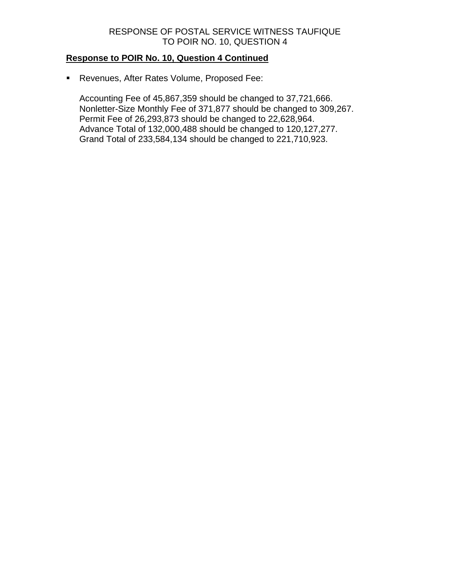# **Response to POIR No. 10, Question 4 Continued**

Revenues, After Rates Volume, Proposed Fee:

Accounting Fee of 45,867,359 should be changed to 37,721,666. Nonletter-Size Monthly Fee of 371,877 should be changed to 309,267. Permit Fee of 26,293,873 should be changed to 22,628,964. Advance Total of 132,000,488 should be changed to 120,127,277. Grand Total of 233,584,134 should be changed to 221,710,923.